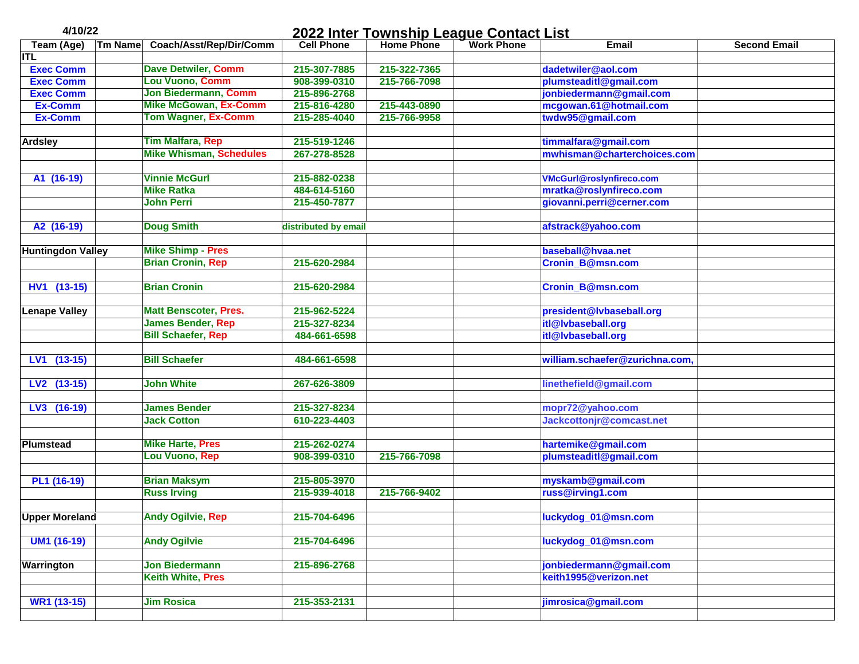| 4/10/22                  |                |                                | 2022 Inter Township League Contact List |                   |                   |                                 |                     |  |
|--------------------------|----------------|--------------------------------|-----------------------------------------|-------------------|-------------------|---------------------------------|---------------------|--|
| Team (Age)               | <b>Tm Name</b> | Coach/Asst/Rep/Dir/Comm        | <b>Cell Phone</b>                       | <b>Home Phone</b> | <b>Work Phone</b> | <b>Email</b>                    | <b>Second Email</b> |  |
| <b>ITL</b>               |                |                                |                                         |                   |                   |                                 |                     |  |
| <b>Exec Comm</b>         |                | <b>Dave Detwiler, Comm</b>     | 215-307-7885                            | 215-322-7365      |                   | dadetwiler@aol.com              |                     |  |
| <b>Exec Comm</b>         |                | Lou Vuono, Comm                | 908-399-0310                            | 215-766-7098      |                   | plumsteaditl@gmail.com          |                     |  |
| <b>Exec Comm</b>         |                | Jon Biedermann, Comm           | 215-896-2768                            |                   |                   | jonbiedermann@gmail.com         |                     |  |
| <b>Ex-Comm</b>           |                | <b>Mike McGowan, Ex-Comm</b>   | 215-816-4280                            | 215-443-0890      |                   | mcgowan.61@hotmail.com          |                     |  |
| Ex-Comm                  |                | <b>Tom Wagner, Ex-Comm</b>     | 215-285-4040                            | 215-766-9958      |                   | twdw95@gmail.com                |                     |  |
|                          |                | <b>Tim Malfara, Rep</b>        |                                         |                   |                   |                                 |                     |  |
| <b>Ardsley</b>           |                | <b>Mike Whisman, Schedules</b> | 215-519-1246                            |                   |                   | timmalfara@gmail.com            |                     |  |
|                          |                |                                | 267-278-8528                            |                   |                   | mwhisman@charterchoices.com     |                     |  |
| A1 (16-19)               |                | <b>Vinnie McGurl</b>           | 215-882-0238                            |                   |                   | <b>VMcGurl@roslynfireco.com</b> |                     |  |
|                          |                | <b>Mike Ratka</b>              | 484-614-5160                            |                   |                   | mratka@roslynfireco.com         |                     |  |
|                          |                | <b>John Perri</b>              | 215-450-7877                            |                   |                   | giovanni.perri@cerner.com       |                     |  |
|                          |                |                                |                                         |                   |                   |                                 |                     |  |
| A2 (16-19)               |                | <b>Doug Smith</b>              | distributed by email                    |                   |                   | afstrack@yahoo.com              |                     |  |
|                          |                |                                |                                         |                   |                   |                                 |                     |  |
| <b>Huntingdon Valley</b> |                | <b>Mike Shimp - Pres</b>       |                                         |                   |                   | baseball@hvaa.net               |                     |  |
|                          |                | <b>Brian Cronin, Rep</b>       | 215-620-2984                            |                   |                   | <b>Cronin_B@msn.com</b>         |                     |  |
|                          |                |                                |                                         |                   |                   |                                 |                     |  |
| HV1 (13-15)              |                | <b>Brian Cronin</b>            | 215-620-2984                            |                   |                   | <b>Cronin_B@msn.com</b>         |                     |  |
| <b>Lenape Valley</b>     |                | <b>Matt Benscoter, Pres.</b>   | 215-962-5224                            |                   |                   | president@lvbaseball.org        |                     |  |
|                          |                | <b>James Bender, Rep</b>       | 215-327-8234                            |                   |                   | itl@lvbaseball.org              |                     |  |
|                          |                | <b>Bill Schaefer, Rep</b>      | 484-661-6598                            |                   |                   | itl@lvbaseball.org              |                     |  |
|                          |                |                                |                                         |                   |                   |                                 |                     |  |
| LV1 (13-15)              |                | <b>Bill Schaefer</b>           | 484-661-6598                            |                   |                   | william.schaefer@zurichna.com,  |                     |  |
|                          |                |                                |                                         |                   |                   |                                 |                     |  |
| LV2 (13-15)              |                | <b>John White</b>              | 267-626-3809                            |                   |                   | linethefield@gmail.com          |                     |  |
|                          |                |                                |                                         |                   |                   |                                 |                     |  |
| LV3 (16-19)              |                | <b>James Bender</b>            | 215-327-8234                            |                   |                   | mopr72@yahoo.com                |                     |  |
|                          |                | <b>Jack Cotton</b>             | 610-223-4403                            |                   |                   | Jackcottonjr@comcast.net        |                     |  |
|                          |                |                                |                                         |                   |                   |                                 |                     |  |
| <b>Plumstead</b>         |                | <b>Mike Harte, Pres</b>        | 215-262-0274                            |                   |                   | hartemike@gmail.com             |                     |  |
|                          |                | Lou Vuono, Rep                 | 908-399-0310                            | 215-766-7098      |                   | plumsteaditl@gmail.com          |                     |  |
|                          |                |                                |                                         |                   |                   |                                 |                     |  |
| PL1 (16-19)              |                | <b>Brian Maksym</b>            | 215-805-3970<br>215-939-4018            |                   |                   | myskamb@gmail.com               |                     |  |
|                          |                | <b>Russ Irving</b>             |                                         | 215-766-9402      |                   | russ@irving1.com                |                     |  |
| <b>Upper Moreland</b>    |                | <b>Andy Ogilvie, Rep</b>       | 215-704-6496                            |                   |                   | luckydog_01@msn.com             |                     |  |
|                          |                |                                |                                         |                   |                   |                                 |                     |  |
| <b>UM1 (16-19)</b>       |                | <b>Andy Ogilvie</b>            | 215-704-6496                            |                   |                   | luckydog_01@msn.com             |                     |  |
| Warrington               |                | <b>Jon Biedermann</b>          | 215-896-2768                            |                   |                   | jonbiedermann@gmail.com         |                     |  |
|                          |                | <b>Keith White, Pres</b>       |                                         |                   |                   | keith1995@verizon.net           |                     |  |
|                          |                |                                |                                         |                   |                   |                                 |                     |  |
| WR1 (13-15)              |                | <b>Jim Rosica</b>              | 215-353-2131                            |                   |                   | jimrosica@gmail.com             |                     |  |
|                          |                |                                |                                         |                   |                   |                                 |                     |  |